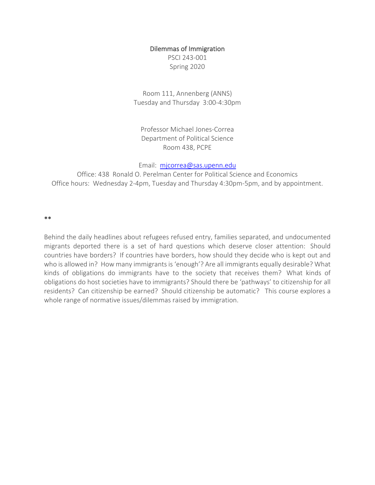#### Dilemmas of Immigration

PSCI 243-001 Spring 2020

Room 111, Annenberg (ANNS) Tuesday and Thursday 3:00-4:30pm

Professor Michael Jones-Correa Department of Political Science Room 438, PCPE

Email: mjcorrea@sas.upenn.edu

Office: 438 Ronald O. Perelman Center for Political Science and Economics Office hours: Wednesday 2-4pm, Tuesday and Thursday 4:30pm-5pm, and by appointment.

\*\*

Behind the daily headlines about refugees refused entry, families separated, and undocumented migrants deported there is a set of hard questions which deserve closer attention: Should countries have borders? If countries have borders, how should they decide who is kept out and who is allowed in? How many immigrants is 'enough'? Are all immigrants equally desirable? What kinds of obligations do immigrants have to the society that receives them? What kinds of obligations do host societies have to immigrants? Should there be 'pathways' to citizenship for all residents? Can citizenship be earned? Should citizenship be automatic? This course explores a whole range of normative issues/dilemmas raised by immigration.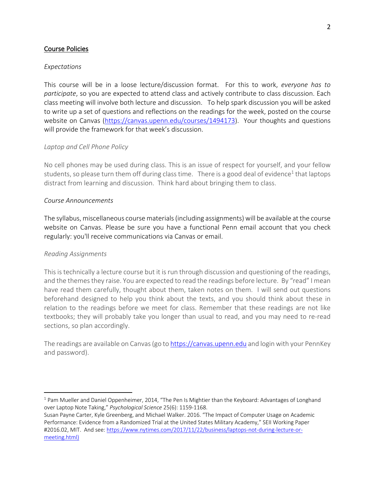### Course Policies

#### *Expectations*

This course will be in a loose lecture/discussion format. For this to work, *everyone has to participate*, so you are expected to attend class and actively contribute to class discussion. Each class meeting will involve both lecture and discussion. To help spark discussion you will be asked to write up a set of questions and reflections on the readings for the week, posted on the course website on Canvas (https://canvas.upenn.edu/courses/1494173). Your thoughts and questions will provide the framework for that week's discussion.

#### *Laptop and Cell Phone Policy*

No cell phones may be used during class. This is an issue of respect for yourself, and your fellow students, so please turn them off during class time. There is a good deal of evidence<sup>1</sup> that laptops distract from learning and discussion. Think hard about bringing them to class.

#### *Course Announcements*

The syllabus, miscellaneous course materials (including assignments) will be available at the course website on Canvas. Please be sure you have a functional Penn email account that you check regularly: you'll receive communications via Canvas or email.

#### *Reading Assignments*

This is technically a lecture course but it is run through discussion and questioning of the readings, and the themes they raise. You are expected to read the readings before lecture. By "read" I mean have read them carefully, thought about them, taken notes on them. I will send out questions beforehand designed to help you think about the texts, and you should think about these in relation to the readings before we meet for class. Remember that these readings are not like textbooks; they will probably take you longer than usual to read, and you may need to re-read sections, so plan accordingly.

The readings are available on Canvas (go to https://canvas.upenn.edu and login with your PennKey and password).

<sup>&</sup>lt;sup>1</sup> Pam Mueller and Daniel Oppenheimer, 2014, "The Pen Is Mightier than the Keyboard: Advantages of Longhand over Laptop Note Taking," *Psychological Science* 25(6): 1159-1168.

Susan Payne Carter, Kyle Greenberg, and Michael Walker. 2016. "The Impact of Computer Usage on Academic Performance: Evidence from a Randomized Trial at the United States Military Academy," SEII Working Paper #2016.02, MIT. And see: https://www.nytimes.com/2017/11/22/business/laptops-not-during-lecture-ormeeting.html)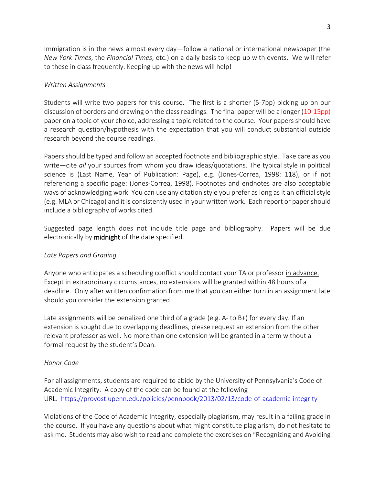Immigration is in the news almost every day—follow a national or international newspaper (the *New York Times*, the *Financial Times*, etc.) on a daily basis to keep up with events. We will refer to these in class frequently. Keeping up with the news will help!

### *Written Assignments*

Students will write two papers for this course. The first is a shorter (5-7pp) picking up on our discussion of borders and drawing on the class readings. The final paper will be a longer (10-15pp) paper on a topic of your choice, addressing a topic related to the course. Your papers should have a research question/hypothesis with the expectation that you will conduct substantial outside research beyond the course readings.

Papers should be typed and follow an accepted footnote and bibliographic style. Take care as you write—cite *all* your sources from whom you draw ideas/quotations. The typical style in political science is (Last Name, Year of Publication: Page), e.g. (Jones-Correa, 1998: 118), or if not referencing a specific page: (Jones-Correa, 1998). Footnotes and endnotes are also acceptable ways of acknowledging work. You can use any citation style you prefer as long as it an official style (e.g. MLA or Chicago) and it is consistently used in your written work. Each report or paper should include a bibliography of works cited.

Suggested page length does not include title page and bibliography. Papers will be due electronically by **midnight** of the date specified.

### *Late Papers and Grading*

Anyone who anticipates a scheduling conflict should contact your TA or professor in advance. Except in extraordinary circumstances, no extensions will be granted within 48 hours of a deadline. Only after written confirmation from me that you can either turn in an assignment late should you consider the extension granted.

Late assignments will be penalized one third of a grade (e.g. A- to B+) for every day. If an extension is sought due to overlapping deadlines, please request an extension from the other relevant professor as well. No more than one extension will be granted in a term without a formal request by the student's Dean.

## *Honor Code*

For all assignments, students are required to abide by the University of Pennsylvania's Code of Academic Integrity. A copy of the code can be found at the following URL: https://provost.upenn.edu/policies/pennbook/2013/02/13/code-of-academic-integrity

Violations of the Code of Academic Integrity, especially plagiarism, may result in a failing grade in the course. If you have any questions about what might constitute plagiarism, do not hesitate to ask me. Students may also wish to read and complete the exercises on "Recognizing and Avoiding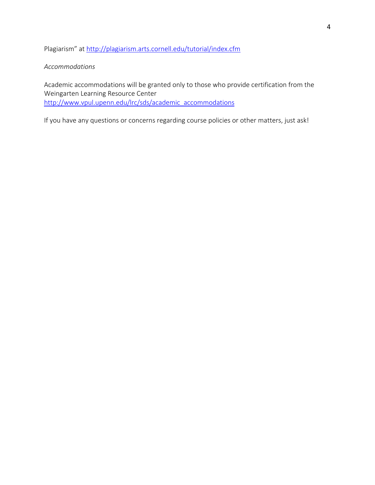Plagiarism" at http://plagiarism.arts.cornell.edu/tutorial/index.cfm

### *Accommodations*

Academic accommodations will be granted only to those who provide certification from the Weingarten Learning Resource Center http://www.vpul.upenn.edu/lrc/sds/academic\_accommodations

If you have any questions or concerns regarding course policies or other matters, just ask!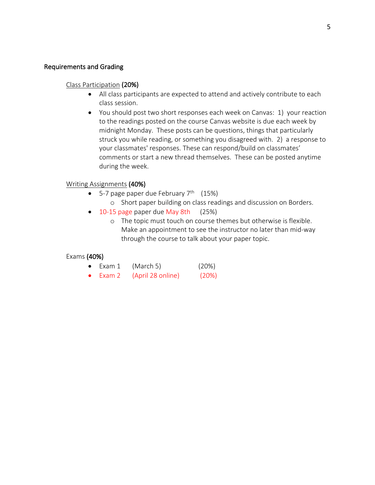### Requirements and Grading

#### Class Participation (20%)

- All class participants are expected to attend and actively contribute to each class session.
- You should post two short responses each week on Canvas: 1) your reaction to the readings posted on the course Canvas website is due each week by midnight Monday. These posts can be questions, things that particularly struck you while reading, or something you disagreed with. 2) a response to your classmates' responses. These can respond/build on classmates' comments or start a new thread themselves. These can be posted anytime during the week.

#### Writing Assignments (40%)

- 5-7 page paper due February  $7<sup>th</sup>$  (15%)
	- o Short paper building on class readings and discussion on Borders.
- 10-15 page paper due May 8th (25%)
	- o The topic must touch on course themes but otherwise is flexible. Make an appointment to see the instructor no later than mid-way through the course to talk about your paper topic.

#### Exams (40%)

- Exam  $1$  (March 5) (20%)
- Exam 2 (April 28 online) (20%)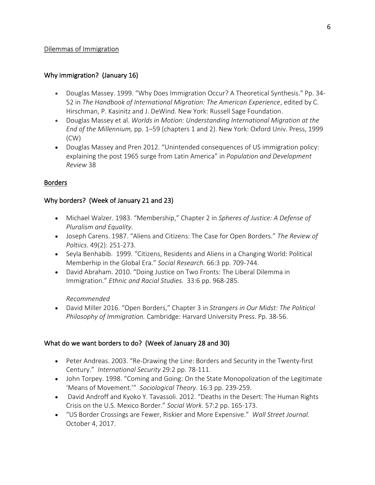### Dilemmas of Immigration

### Why immigration? (January 16)

- Douglas Massey. 1999. "Why Does Immigration Occur? A Theoretical Synthesis." Pp. 34- 52 in *The Handbook of International Migration: The American Experience*, edited by C. Hirschman, P. Kasinitz and J. DeWind. New York: Russell Sage Foundation.
- Douglas Massey et al. *Worlds in Motion: Understanding International Migration at the End of the Millennium,* pp. 1–59 (chapters 1 and 2). New York: Oxford Univ. Press, 1999 (CW)
- Douglas Massey and Pren 2012. "Unintended consequences of US immigration policy: explaining the post 1965 surge from Latin America" in *Population and Development Review* 38

### Borders

### Why borders? (Week of January 21 and 23)

- Michael Walzer. 1983. "Membership," Chapter 2 in *Spheres of Justice: A Defense of Pluralism and Equality.*
- Joseph Carens. 1987. "Aliens and Citizens: The Case for Open Borders." *The Review of Poltiics*. 49(2): 251-273.
- Seyla Benhabib. 1999. "Citizens, Residents and Aliens in a Changing World: Political Memberhip in the Global Era." *Social Research.* 66:3 pp. 709-744.
- David Abraham. 2010. "Doing Justice on Two Fronts: The Liberal Dilemma in Immigration." *Ethnic and Racial Studies.* 33:6 pp. 968-285.

### *Recommended*

• David Miller 2016. "Open Borders," Chapter 3 in *Strangers in Our Midst: The Political Philosophy of Immigration.* Cambridge: Harvard University Press. Pp. 38-56.

## What do we want borders to do? (Week of January 28 and 30)

- Peter Andreas. 2003. "Re-Drawing the Line: Borders and Security in the Twenty-first Century." *International Security* 29:2 pp. 78-111.
- John Torpey. 1998. "Coming and Going: On the State Monopolization of the Legitimate 'Means of Movement.'" *Sociological Theory*. 16:3 pp. 239-259.
- David Androff and Kyoko Y. Tavassoli. 2012. "Deaths in the Desert: The Human Rights Crisis on the U.S. Mexico Border." *Social Work.* 57:2 pp. 165-173.
- "US Border Crossings are Fewer, Riskier and More Expensive." *Wall Street Journal.*  October 4, 2017.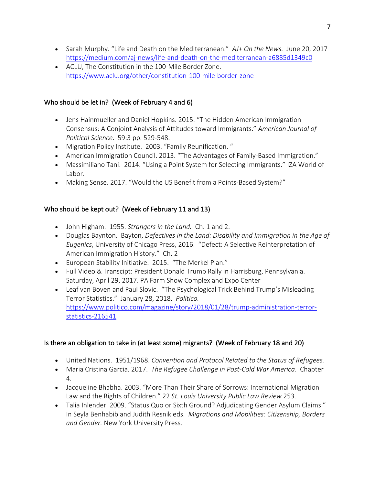- Sarah Murphy. "Life and Death on the Mediterranean." *AJ+ On the News.* June 20, 2017 https://medium.com/aj-news/life-and-death-on-the-mediterranean-a6885d1349c0
- ACLU, The Constitution in the 100-Mile Border Zone. https://www.aclu.org/other/constitution-100-mile-border-zone

## Who should be let in? (Week of February 4 and 6)

- Jens Hainmueller and Daniel Hopkins. 2015. "The Hidden American Immigration Consensus: A Conjoint Analysis of Attitudes toward Immigrants." *American Journal of Political Science*. 59:3 pp. 529-548.
- Migration Policy Institute. 2003. "Family Reunification. "
- American Immigration Council. 2013. "The Advantages of Family-Based Immigration."
- Massimiliano Tani. 2014. "Using a Point System for Selecting Immigrants." IZA World of Labor.
- Making Sense. 2017. "Would the US Benefit from a Points-Based System?"

# Who should be kept out? (Week of February 11 and 13)

- John Higham. 1955. *Strangers in the Land.* Ch. 1 and 2.
- Douglas Baynton. Bayton, *Defectives in the Land: Disability and Immigration in the Age of Eugenics*, University of Chicago Press, 2016. "Defect: A Selective Reinterpretation of American Immigration History." Ch. 2
- European Stability Initiative. 2015. "The Merkel Plan."
- Full Video & Transcipt: President Donald Trump Rally in Harrisburg, Pennsylvania. Saturday, April 29, 2017. PA Farm Show Complex and Expo Center
- Leaf van Boven and Paul Slovic. "The Psychological Trick Behind Trump's Misleading Terror Statistics." January 28, 2018. *Politico.*  https://www.politico.com/magazine/story/2018/01/28/trump-administration-terrorstatistics-216541

# Is there an obligation to take in (at least some) migrants? (Week of February 18 and 20)

- United Nations. 1951/1968. *Convention and Protocol Related to the Status of Refugees.*
- Maria Cristina Garcia. 2017. *The Refugee Challenge in Post-Cold War America*. Chapter 4.
- Jacqueline Bhabha. 2003. "More Than Their Share of Sorrows: International Migration Law and the Rights of Children." 22 *St. Louis University Public Law Review* 253.
- Talia Inlender. 2009. "Status Quo or Sixth Ground? Adjudicating Gender Asylum Claims." In Seyla Benhabib and Judith Resnik eds. *Migrations and Mobilities: Citizenship, Borders and Gender.* New York University Press.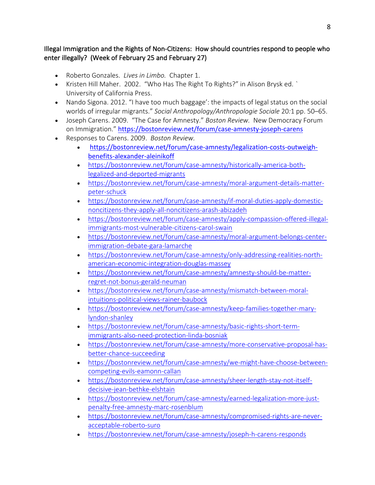## Illegal Immigration and the Rights of Non-Citizens: How should countries respond to people who enter illegally? (Week of February 25 and February 27)

- Roberto Gonzales. *Lives in Limbo.* Chapter 1.
- Kristen Hill Maher. 2002. "Who Has The Right To Rights?" in Alison Brysk ed. *`* University of California Press.
- Nando Sigona. 2012. "I have too much baggage': the impacts of legal status on the social worlds of irregular migrants." *Social Anthropology/Anthropologie Sociale* 20*:*1 pp. 50–65.
- Joseph Carens. 2009. "The Case for Amnesty." *Boston Review.* New Democracy Forum on Immigration." https://bostonreview.net/forum/case-amnesty-joseph-carens
- Responses to Carens. 2009. *Boston Review.*
	- https://bostonreview.net/forum/case-amnesty/legalization-costs-outweighbenefits-alexander-aleinikoff
	- https://bostonreview.net/forum/case-amnesty/historically-america-bothlegalized-and-deported-migrants
	- https://bostonreview.net/forum/case-amnesty/moral-argument-details-matterpeter-schuck
	- https://bostonreview.net/forum/case-amnesty/if-moral-duties-apply-domesticnoncitizens-they-apply-all-noncitizens-arash-abizadeh
	- https://bostonreview.net/forum/case-amnesty/apply-compassion-offered-illegalimmigrants-most-vulnerable-citizens-carol-swain
	- https://bostonreview.net/forum/case-amnesty/moral-argument-belongs-centerimmigration-debate-gara-lamarche
	- https://bostonreview.net/forum/case-amnesty/only-addressing-realities-northamerican-economic-integration-douglas-massey
	- https://bostonreview.net/forum/case-amnesty/amnesty-should-be-matterregret-not-bonus-gerald-neuman
	- https://bostonreview.net/forum/case-amnesty/mismatch-between-moralintuitions-political-views-rainer-baubock
	- https://bostonreview.net/forum/case-amnesty/keep-families-together-marylyndon-shanley
	- https://bostonreview.net/forum/case-amnesty/basic-rights-short-termimmigrants-also-need-protection-linda-bosniak
	- https://bostonreview.net/forum/case-amnesty/more-conservative-proposal-hasbetter-chance-succeeding
	- https://bostonreview.net/forum/case-amnesty/we-might-have-choose-betweencompeting-evils-eamonn-callan
	- https://bostonreview.net/forum/case-amnesty/sheer-length-stay-not-itselfdecisive-jean-bethke-elshtain
	- https://bostonreview.net/forum/case-amnesty/earned-legalization-more-justpenalty-free-amnesty-marc-rosenblum
	- https://bostonreview.net/forum/case-amnesty/compromised-rights-are-neveracceptable-roberto-suro
	- https://bostonreview.net/forum/case-amnesty/joseph-h-carens-responds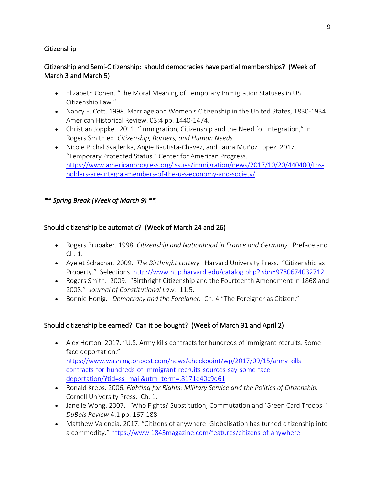## Citizenship

# Citizenship and Semi-Citizenship: should democracies have partial memberships? (Week of March 3 and March 5)

- Elizabeth Cohen. "The Moral Meaning of Temporary Immigration Statuses in US Citizenship Law."
- Nancy F. Cott. 1998. Marriage and Women's Citizenship in the United States, 1830-1934. American Historical Review. 03:4 pp. 1440-1474.
- Christian Joppke. 2011. "Immigration, Citizenship and the Need for Integration," in Rogers Smith ed. *Citizenship, Borders, and Human Needs.*
- Nicole Prchal Svajlenka, Angie Bautista-Chavez, and Laura Muñoz Lopez 2017. "Temporary Protected Status." Center for American Progress. https://www.americanprogress.org/issues/immigration/news/2017/10/20/440400/tpsholders-are-integral-members-of-the-u-s-economy-and-society/

*\*\* Spring Break (Week of March 9) \*\** 

## Should citizenship be automatic? (Week of March 24 and 26)

- Rogers Brubaker. 1998. *Citizenship and Nationhood in France and Germany*. Preface and Ch. 1.
- Ayelet Schachar. 2009. *The Birthright Lottery.* Harvard University Press. "Citizenship as Property." Selections. http://www.hup.harvard.edu/catalog.php?isbn=9780674032712
- Rogers Smith. 2009. "Birthright Citizenship and the Fourteenth Amendment in 1868 and 2008." *Journal of Constitutional Law.* 11:5.
- Bonnie Honig. *Democracy and the Foreigner.* Ch. 4 "The Foreigner as Citizen."

# Should citizenship be earned? Can it be bought? (Week of March 31 and April 2)

- Alex Horton. 2017. "U.S. Army kills contracts for hundreds of immigrant recruits. Some face deportation." https://www.washingtonpost.com/news/checkpoint/wp/2017/09/15/army-killscontracts-for-hundreds-of-immigrant-recruits-sources-say-some-facedeportation/?tid=ss\_mail&utm\_term=.8171e40c9d61
- Ronald Krebs. 2006. *Fighting for Rights: Military Service and the Politics of Citizenship.* Cornell University Press. Ch. 1.
- Janelle Wong. 2007. "Who Fights? Substitution, Commutation and 'Green Card Troops." *DuBois Review* 4:1 pp. 167-188.
- Matthew Valencia. 2017. "Citizens of anywhere: Globalisation has turned citizenship into a commodity." https://www.1843magazine.com/features/citizens-of-anywhere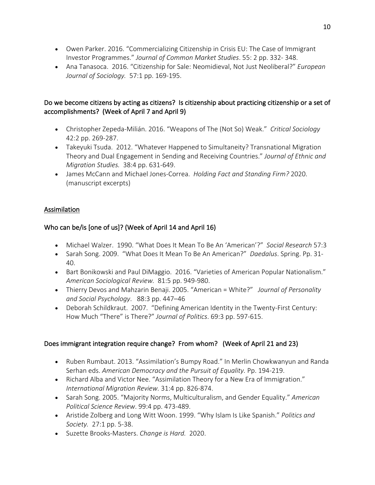- Owen Parker. 2016. "Commercializing Citizenship in Crisis EU: The Case of Immigrant Investor Programmes." *Journal of Common Market Studies*. 55: 2 pp. 332- 348.
- Ana Tanasoca. 2016. "Citizenship for Sale: Neomidieval, Not Just Neoliberal?" *European Journal of Sociology.* 57:1 pp. 169-195.

# Do we become citizens by acting as citizens? Is citizenship about practicing citizenship or a set of accomplishments? (Week of April 7 and April 9)

- Christopher Zepeda-Milián. 2016. "Weapons of The (Not So) Weak." *Critical Sociology* 42:2 pp. 269-287.
- Takeyuki Tsuda. 2012. "Whatever Happened to Simultaneity? Transnational Migration Theory and Dual Engagement in Sending and Receiving Countries." *Journal of Ethnic and Migration Studies.* 38:4 pp. 631-649.
- James McCann and Michael Jones-Correa. *Holding Fact and Standing Firm?* 2020. (manuscript excerpts)

# Assimilation

# Who can be/is [one of us]? (Week of April 14 and April 16)

- Michael Walzer. 1990. "What Does It Mean To Be An 'American'?" *Social Research* 57:3
- Sarah Song. 2009. "What Does It Mean To Be An American?" *Daedalus*. Spring. Pp. 31- 40.
- Bart Bonikowski and Paul DiMaggio. 2016. "Varieties of American Popular Nationalism." *American Sociological Review.* 81:5 pp. 949-980.
- Thierry Devos and Mahzarin Benaji. 2005. "American = White?" *Journal of Personality and Social Psychology*. 88:3 pp. 447–46
- Deborah Schildkraut. 2007. "Defining American Identity in the Twenty-First Century: How Much "There" is There?" *Journal of Politics*. 69:3 pp. 597-615.

# Does immigrant integration require change? From whom? (Week of April 21 and 23)

- Ruben Rumbaut. 2013. "Assimilation's Bumpy Road." In Merlin Chowkwanyun and Randa Serhan eds. *American Democracy and the Pursuit of Equality.* Pp. 194-219.
- Richard Alba and Victor Nee. "Assimilation Theory for a New Era of Immigration." *International Migration Review.* 31:4 pp. 826-874.
- Sarah Song. 2005. "Majority Norms, Multiculturalism, and Gender Equality." *American Political Science Review*. 99:4 pp. 473-489.
- Aristide Zolberg and Long Witt Woon. 1999. "Why Islam Is Like Spanish." *Politics and Society.* 27:1 pp. 5-38.
- Suzette Brooks-Masters. *Change is Hard.* 2020.